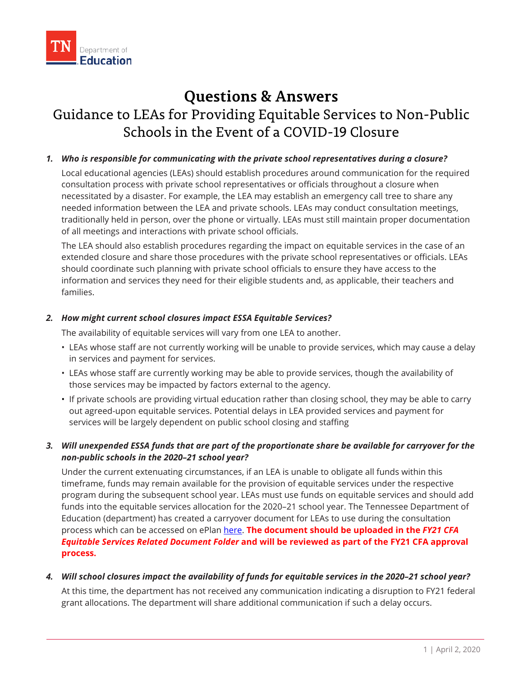# Guidance to LEAs for Providing Equitable Services to Non-Public **Questions & Answers**  Schools in the Event of a COVID-19 Closure

# *1. Who is responsible for communicating with the private school representatives during a closure?*

of all meetings and interactions with private school officials. Local educational agencies (LEAs) should establish procedures around communication for the required consultation process with private school representatives or officials throughout a closure when necessitated by a disaster. For example, the LEA may establish an emergency call tree to share any needed information between the LEA and private schools. LEAs may conduct consultation meetings, traditionally held in person, over the phone or virtually. LEAs must still maintain proper documentation

The LEA should also establish procedures regarding the impact on equitable services in the case of an extended closure and share those procedures with the private school representatives or officials. LEAs should coordinate such planning with private school officials to ensure they have access to the information and services they need for their eligible students and, as applicable, their teachers and families.

# *2. How might current school closures impact ESSA Equitable Services?*

The availability of equitable services will vary from one LEA to another.

- LEAs whose staff are not currently working will be unable to provide services, which may cause a delay in services and payment for services.
- LEAs whose staff are currently working may be able to provide services, though the availability of those services may be impacted by factors external to the agency.
- If private schools are providing virtual education rather than closing school, they may be able to carry out agreed-upon equitable services. Potential delays in LEA provided services and payment for services will be largely dependent on public school closing and staffing

# *3. Will unexpended ESSA funds that are part of the proportionate share be available for carryover for the non-public schools in the 2020–21 school year?*

 process which can be accessed on ePlan [here.](https://eplan.tn.gov/DocumentLibrary/ViewDocument.aspx?DocumentKey=1580708&inline=true) **The document should be uploaded in the** *FY21 CFA*  Under the current extenuating circumstances, if an LEA is unable to obligate all funds within this timeframe, funds may remain available for the provision of equitable services under the respective program during the subsequent school year. LEAs must use funds on equitable services and should add funds into the equitable services allocation for the 2020–21 school year. The Tennessee Department of Education (department) has created a carryover document for LEAs to use during the consultation *Equitable Services Related Document Folder* **and will be reviewed as part of the FY21 CFA approval process.** 

# *4. Will school closures impact the availability of funds for equitable services in the 2020–21 school year?*

At this time, the department has not received any communication indicating a disruption to FY21 federal grant allocations. The department will share additional communication if such a delay occurs.